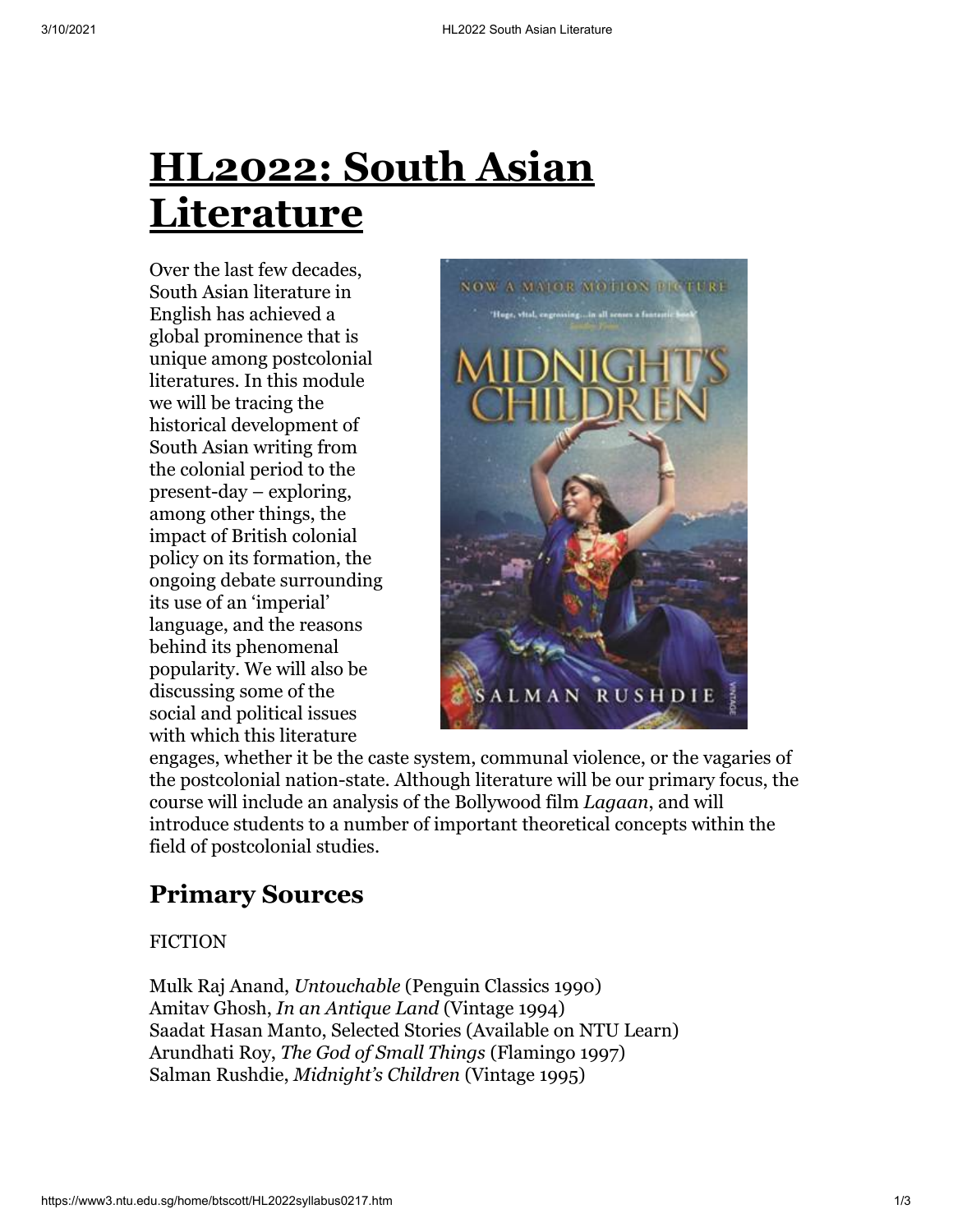Over the last few decades, South Asian literature in English has achieved a global prominence that is unique among postcolonial literatures. In this module we will be tracing the historical development of South Asian writing from the colonial period to the present-day – exploring, among other things, the impact of British colonial policy on its formation, the ongoing debate surrounding its use of an 'imperial' language, and the reasons behind its phenomenal popularity. We will also be discussing some of the social and political issues with which this literature



engages, whether it be the caste system, communal violence, or the vagaries of the postcolonial nation-state. Although literature will be our primary focus, the course will include an analysis of the Bollywood film *Lagaan*, and will introduce students to a number of important theoretical concepts within the field of postcolonial studies.

# **Primary Sources**

#### FICTION

Mulk Raj Anand, *Untouchable* (Penguin Classics 1990) Amitav Ghosh, *In an Antique Land* (Vintage 1994) Saadat Hasan Manto, Selected Stories (Available on NTU Learn) Arundhati Roy, *The God of Small Things* (Flamingo 1997) Salman Rushdie, *Midnight's Children* (Vintage 1995)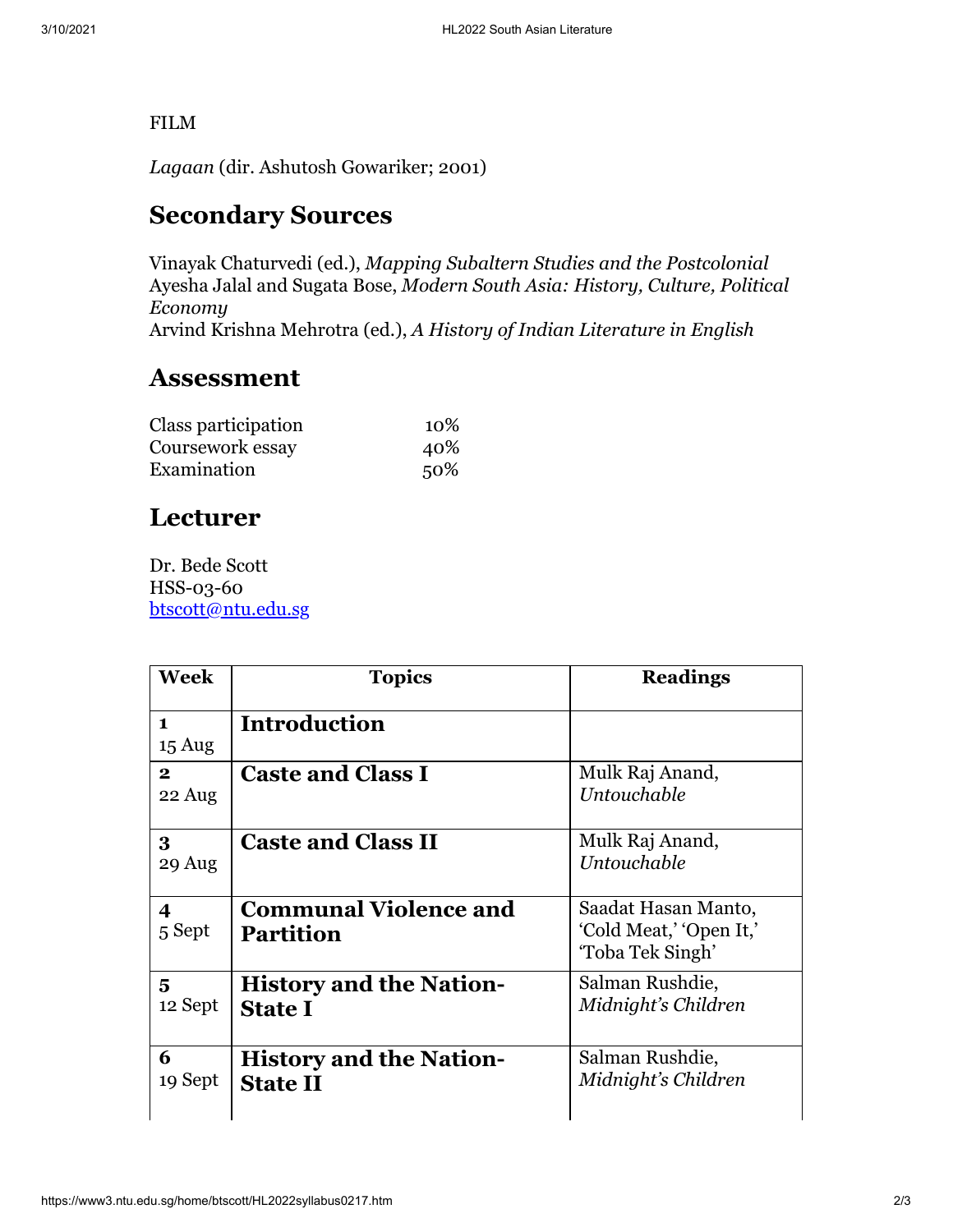#### FILM

*Lagaan* (dir. Ashutosh Gowariker; 2001)

## **Secondary Sources**

Vinayak Chaturvedi (ed.), *Mapping Subaltern Studies and the Postcolonial* Ayesha Jalal and Sugata Bose, *Modern South Asia: History, Culture, Political Economy* Arvind Krishna Mehrotra (ed.), *A History of Indian Literature in English*

#### **Assessment**

| Class participation | 10\% |
|---------------------|------|
| Coursework essay    | 40%  |
| Examination         | 50%  |

## **Lecturer**

Dr. Bede Scott HSS-03-60 [btscott@ntu.edu.sg](mailto:btscott@ntu.edu.sg)

| Week                             | <b>Topics</b>                                     | <b>Readings</b>                                                    |
|----------------------------------|---------------------------------------------------|--------------------------------------------------------------------|
| $\mathbf{1}$<br>$15 \text{ Aug}$ | <b>Introduction</b>                               |                                                                    |
| $\mathbf{2}$<br>22 Aug           | <b>Caste and Class I</b>                          | Mulk Raj Anand,<br>Untouchable                                     |
| 3<br>29 Aug                      | <b>Caste and Class II</b>                         | Mulk Raj Anand,<br>Untouchable                                     |
| 4<br>5 Sept                      | <b>Communal Violence and</b><br><b>Partition</b>  | Saadat Hasan Manto,<br>'Cold Meat,' 'Open It,'<br>'Toba Tek Singh' |
| 5<br>12 Sept                     | <b>History and the Nation-</b><br><b>State I</b>  | Salman Rushdie,<br>Midnight's Children                             |
| 6<br>19 Sept                     | <b>History and the Nation-</b><br><b>State II</b> | Salman Rushdie,<br>Midnight's Children                             |